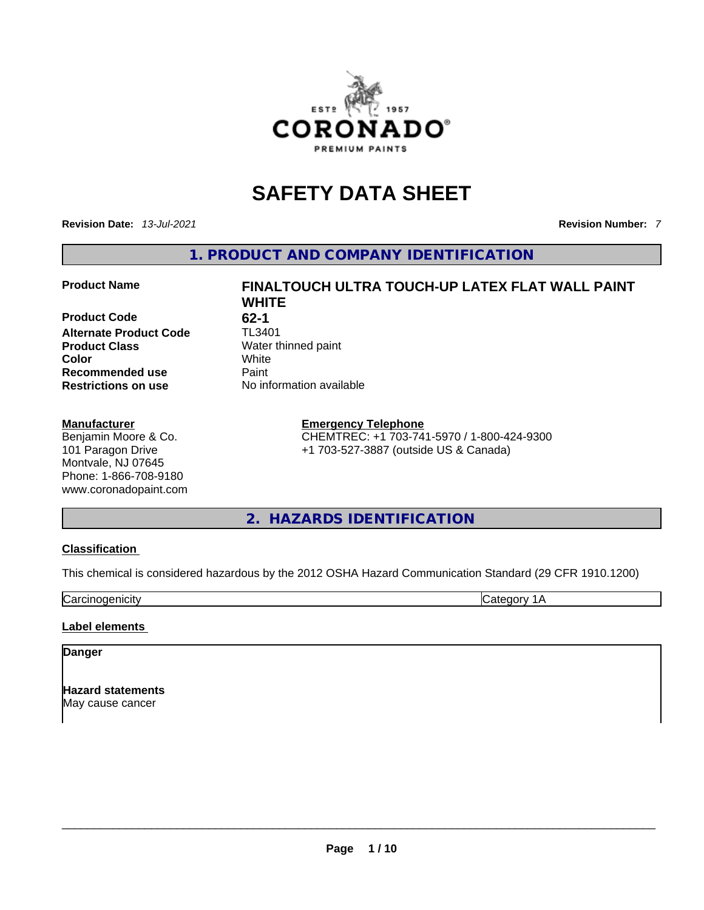

# **SAFETY DATA SHEET**

**Revision Date:** *13-Jul-2021* **Revision Number:** *7*

**1. PRODUCT AND COMPANY IDENTIFICATION** 

**Product Code** 62-1<br>**Alternate Product Code** TL3401 **Alternate Product Code Product Class Water thinned paint Color** White **Recommended use Paint Restrictions on use** No information available

#### **Manufacturer**

Benjamin Moore & Co. 101 Paragon Drive Montvale, NJ 07645 Phone: 1-866-708-9180 www.coronadopaint.com

# **Product Name FINALTOUCH ULTRA TOUCH-UP LATEX FLAT WALL PAINT WHITE**

#### **Emergency Telephone**

CHEMTREC: +1 703-741-5970 / 1-800-424-9300 +1 703-527-3887 (outside US & Canada)

# **2. HAZARDS IDENTIFICATION**

#### **Classification**

This chemical is considered hazardous by the 2012 OSHA Hazard Communication Standard (29 CFR 1910.1200)

Carcinogenicity **Category 1A** 

#### **Label elements**

#### **Danger**

**Hazard statements** May cause cancer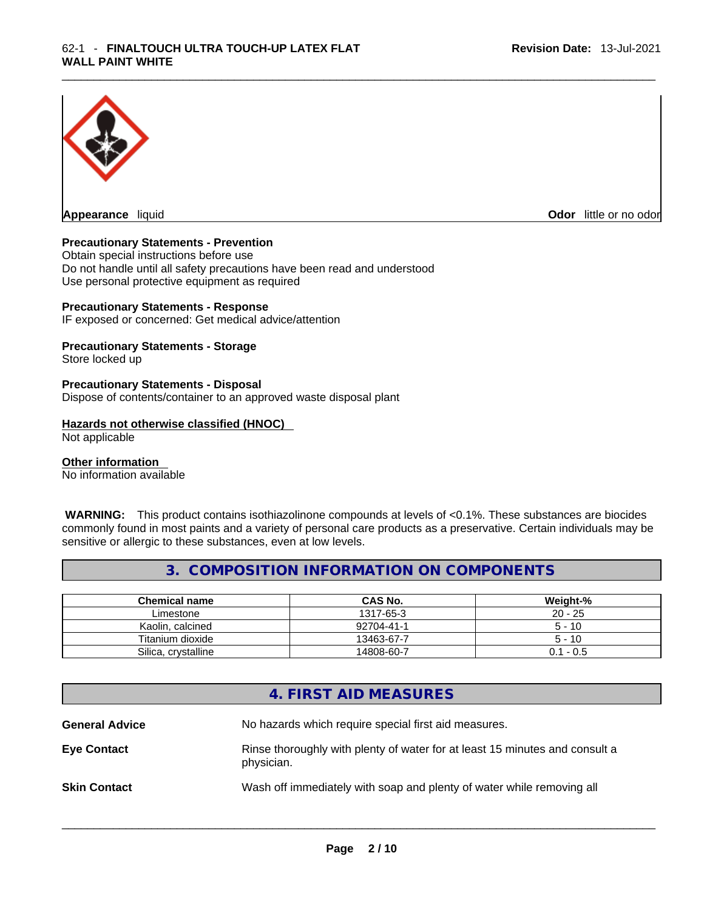

**Appearance** liquid **Odor 11** and **Odor 11** and **Odor 11** and **Odor 11** and **Odor 11** and **Odor** 11 and **Odor** 11 and **Odor** 11 and **Odor** 11 and **Odor** 11 and **Odor** 11 and **Odor** 11 and **Odor** 11 and **Odor** 11 and **Odor** 

#### **Precautionary Statements - Prevention**

Obtain special instructions before use Do not handle until all safety precautions have been read and understood Use personal protective equipment as required

#### **Precautionary Statements - Response**

IF exposed or concerned: Get medical advice/attention

#### **Precautionary Statements - Storage**

Store locked up

#### **Precautionary Statements - Disposal**

Dispose of contents/container to an approved waste disposal plant

#### **Hazards not otherwise classified (HNOC)**

Not applicable

#### **Other information**

No information available

 **WARNING:** This product contains isothiazolinone compounds at levels of <0.1%. These substances are biocides commonly found in most paints and a variety of personal care products as a preservative. Certain individuals may be sensitive or allergic to these substances, even at low levels.

#### **3. COMPOSITION INFORMATION ON COMPONENTS**

| <b>Chemical name</b> | <b>CAS No.</b> | Weight-%    |
|----------------------|----------------|-------------|
| Limestone            | 1317-65-3      | $20 - 25$   |
| Kaolin, calcined     | 92704-41-1     | $5 - 10$    |
| Titanium dioxide     | 13463-67-7     | $5 - 10$    |
| Silica, crystalline  | 14808-60-7     | $0.1 - 0.5$ |

### **4. FIRST AID MEASURES**

**General Advice** No hazards which require special first aid measures. **Eye Contact** Rinse thoroughly with plenty of water for at least 15 minutes and consult a physician. **Skin Contact Wash off immediately with soap and plenty of water while removing all**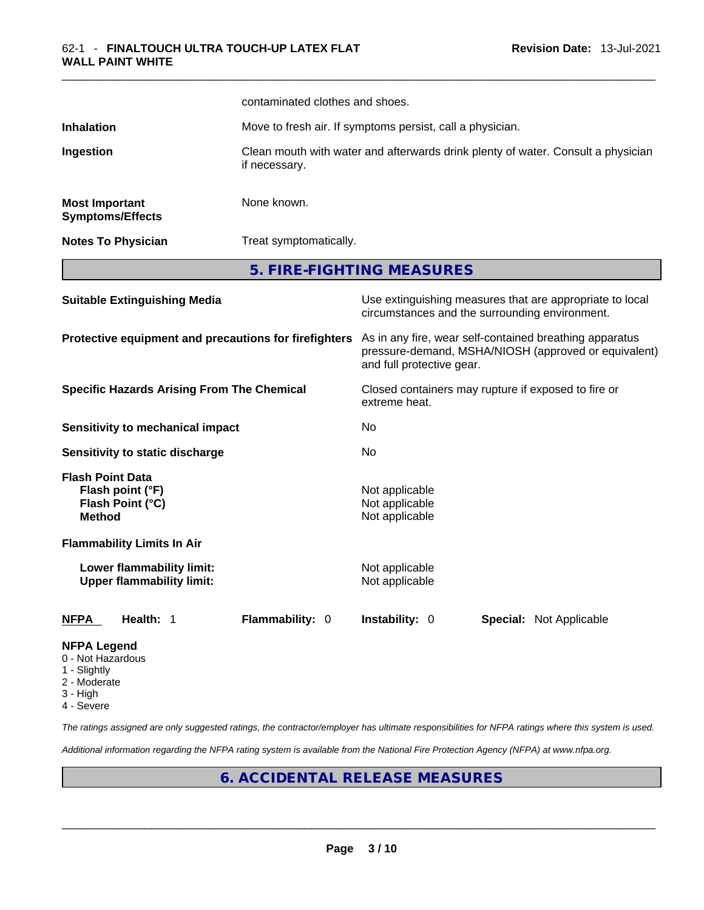|                                                                                  | contaminated clothes and shoes. |                                                                                                                                              |  |  |
|----------------------------------------------------------------------------------|---------------------------------|----------------------------------------------------------------------------------------------------------------------------------------------|--|--|
| <b>Inhalation</b>                                                                |                                 | Move to fresh air. If symptoms persist, call a physician.                                                                                    |  |  |
| Ingestion<br>if necessary.                                                       |                                 | Clean mouth with water and afterwards drink plenty of water. Consult a physician                                                             |  |  |
| <b>Most Important</b><br><b>Symptoms/Effects</b>                                 | None known.                     |                                                                                                                                              |  |  |
| <b>Notes To Physician</b>                                                        |                                 | Treat symptomatically.                                                                                                                       |  |  |
|                                                                                  |                                 | 5. FIRE-FIGHTING MEASURES                                                                                                                    |  |  |
| <b>Suitable Extinguishing Media</b>                                              |                                 | Use extinguishing measures that are appropriate to local<br>circumstances and the surrounding environment.                                   |  |  |
| Protective equipment and precautions for firefighters                            |                                 | As in any fire, wear self-contained breathing apparatus<br>pressure-demand, MSHA/NIOSH (approved or equivalent)<br>and full protective gear. |  |  |
| <b>Specific Hazards Arising From The Chemical</b>                                |                                 | Closed containers may rupture if exposed to fire or<br>extreme heat.                                                                         |  |  |
| Sensitivity to mechanical impact                                                 |                                 | No                                                                                                                                           |  |  |
| Sensitivity to static discharge                                                  |                                 | No                                                                                                                                           |  |  |
| <b>Flash Point Data</b><br>Flash point (°F)<br>Flash Point (°C)<br><b>Method</b> |                                 | Not applicable<br>Not applicable<br>Not applicable                                                                                           |  |  |
| <b>Flammability Limits In Air</b>                                                |                                 |                                                                                                                                              |  |  |
| Lower flammability limit:<br><b>Upper flammability limit:</b>                    |                                 | Not applicable<br>Not applicable                                                                                                             |  |  |
| NFPA<br>Health: 1                                                                | Flammability: 0                 | Instability: 0<br>Special: Not Applicable                                                                                                    |  |  |
| <b>NFPA Legend</b><br>0 - Not Hazardous                                          |                                 |                                                                                                                                              |  |  |

- 1 Slightly
- 2 Moderate
- 3 High
- 4 Severe

*The ratings assigned are only suggested ratings, the contractor/employer has ultimate responsibilities for NFPA ratings where this system is used.* 

*Additional information regarding the NFPA rating system is available from the National Fire Protection Agency (NFPA) at www.nfpa.org.* 

# **6. ACCIDENTAL RELEASE MEASURES**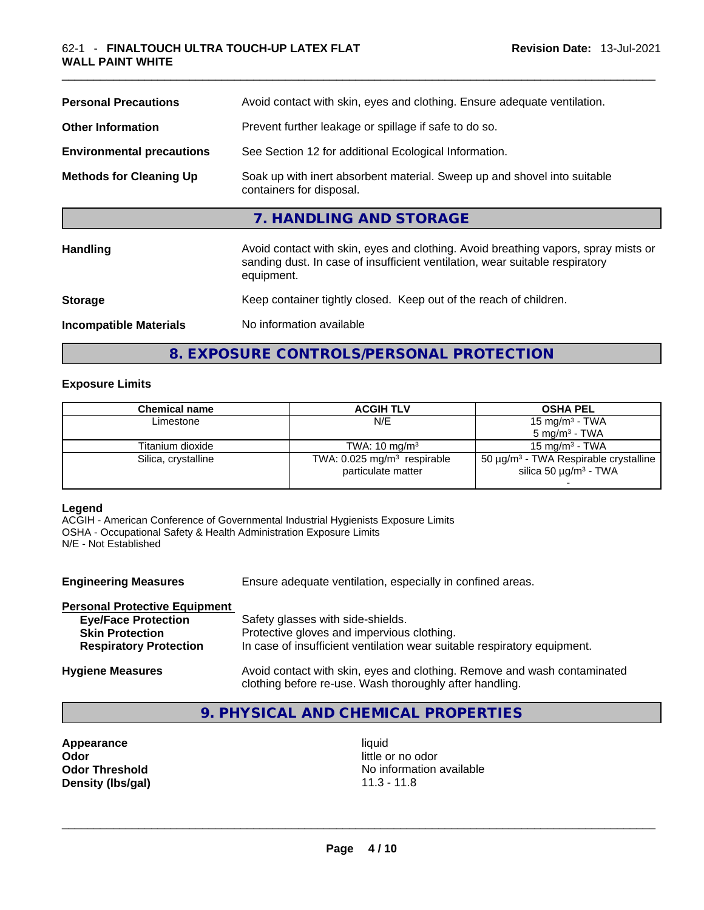| <b>Personal Precautions</b>      | Avoid contact with skin, eyes and clothing. Ensure adequate ventilation.                                                                                                         |
|----------------------------------|----------------------------------------------------------------------------------------------------------------------------------------------------------------------------------|
| <b>Other Information</b>         | Prevent further leakage or spillage if safe to do so.                                                                                                                            |
| <b>Environmental precautions</b> | See Section 12 for additional Ecological Information.                                                                                                                            |
| <b>Methods for Cleaning Up</b>   | Soak up with inert absorbent material. Sweep up and shovel into suitable<br>containers for disposal.                                                                             |
|                                  | 7. HANDLING AND STORAGE                                                                                                                                                          |
| <b>Handling</b>                  | Avoid contact with skin, eyes and clothing. Avoid breathing vapors, spray mists or<br>sanding dust. In case of insufficient ventilation, wear suitable respiratory<br>equipment. |
| <b>Storage</b>                   | Keep container tightly closed. Keep out of the reach of children.                                                                                                                |
| <b>Incompatible Materials</b>    | No information available                                                                                                                                                         |

# **8. EXPOSURE CONTROLS/PERSONAL PROTECTION**

#### **Exposure Limits**

| Chemical name       | <b>ACGIH TLV</b>                                                | <b>OSHA PEL</b>                                                                                  |
|---------------------|-----------------------------------------------------------------|--------------------------------------------------------------------------------------------------|
| Limestone           | N/E                                                             | 15 mg/m $3$ - TWA                                                                                |
|                     |                                                                 | $5 \text{ mg/m}^3$ - TWA                                                                         |
| Titanium dioxide    | TWA: $10 \text{ mg/m}^3$                                        | 15 mg/m $3$ - TWA                                                                                |
| Silica, crystalline | TWA: $0.025$ mg/m <sup>3</sup> respirable<br>particulate matter | 50 $\mu$ g/m <sup>3</sup> - TWA Respirable crystalline<br>silica 50 $\mu$ g/m <sup>3</sup> - TWA |
|                     |                                                                 |                                                                                                  |

#### **Legend**

ACGIH - American Conference of Governmental Industrial Hygienists Exposure Limits OSHA - Occupational Safety & Health Administration Exposure Limits N/E - Not Established

| <b>Engineering Measures</b>          | Ensure adequate ventilation, especially in confined areas.                                                                          |
|--------------------------------------|-------------------------------------------------------------------------------------------------------------------------------------|
| <b>Personal Protective Equipment</b> |                                                                                                                                     |
| <b>Eye/Face Protection</b>           | Safety glasses with side-shields.                                                                                                   |
| <b>Skin Protection</b>               | Protective gloves and impervious clothing.                                                                                          |
| <b>Respiratory Protection</b>        | In case of insufficient ventilation wear suitable respiratory equipment.                                                            |
| <b>Hygiene Measures</b>              | Avoid contact with skin, eyes and clothing. Remove and wash contaminated<br>clothing before re-use. Wash thoroughly after handling. |

# **9. PHYSICAL AND CHEMICAL PROPERTIES**

**Appearance liquid Odor**<br> **Odor Threshold**<br> **Odor Threshold**<br> **CODOR**<br> **CODOR**<br> **CODOR**<br> **CODOR**<br> **CODOR**<br> **CODOR**<br> **CODOR**<br> **CODOR**<br> **CODOR** 

**No information available Density (lbs/gal)** 11.3 - 11.8 \_\_\_\_\_\_\_\_\_\_\_\_\_\_\_\_\_\_\_\_\_\_\_\_\_\_\_\_\_\_\_\_\_\_\_\_\_\_\_\_\_\_\_\_\_\_\_\_\_\_\_\_\_\_\_\_\_\_\_\_\_\_\_\_\_\_\_\_\_\_\_\_\_\_\_\_\_\_\_\_\_\_\_\_\_\_\_\_\_\_\_\_\_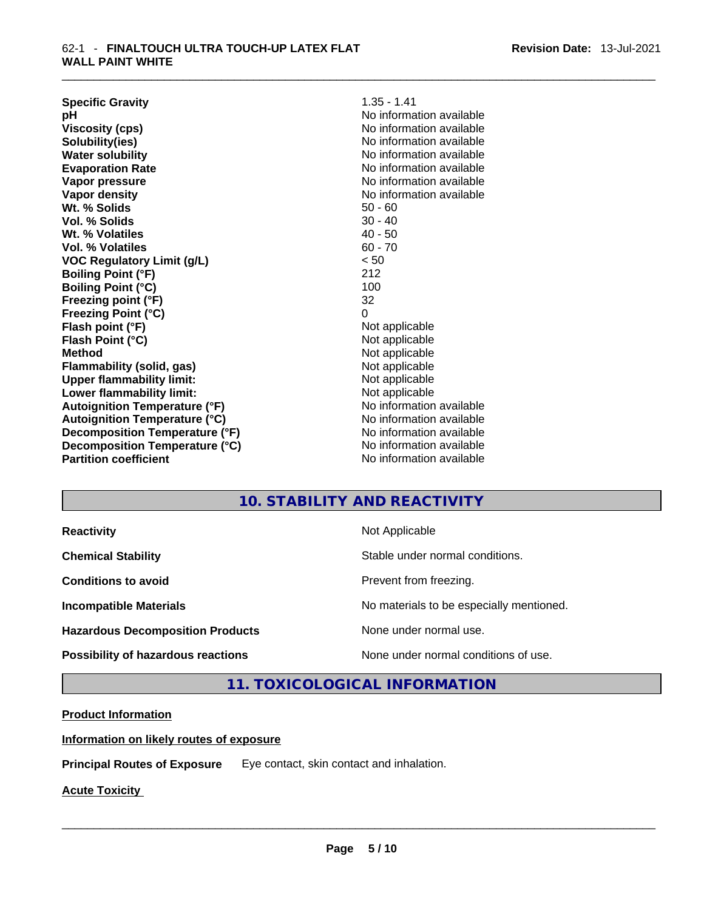| <b>Specific Gravity</b>              | $1.35 - 1.41$            |
|--------------------------------------|--------------------------|
| рH                                   | No information available |
| <b>Viscosity (cps)</b>               | No information available |
| Solubility(ies)                      | No information available |
| <b>Water solubility</b>              | No information available |
| <b>Evaporation Rate</b>              | No information available |
| Vapor pressure                       | No information available |
| Vapor density                        | No information available |
| Wt. % Solids                         | $50 - 60$                |
| Vol. % Solids                        | $30 - 40$                |
| Wt. % Volatiles                      | $40 - 50$                |
| Vol. % Volatiles                     | $60 - 70$                |
| <b>VOC Regulatory Limit (g/L)</b>    | < 50                     |
| <b>Boiling Point (°F)</b>            | 212                      |
| <b>Boiling Point (°C)</b>            | 100                      |
| Freezing point (°F)                  | 32                       |
| <b>Freezing Point (°C)</b>           | 0                        |
| Flash point (°F)                     | Not applicable           |
| Flash Point (°C)                     | Not applicable           |
| <b>Method</b>                        | Not applicable           |
| Flammability (solid, gas)            | Not applicable           |
| <b>Upper flammability limit:</b>     | Not applicable           |
| Lower flammability limit:            | Not applicable           |
| <b>Autoignition Temperature (°F)</b> | No information available |
| <b>Autoignition Temperature (°C)</b> | No information available |
| Decomposition Temperature (°F)       | No information available |
| Decomposition Temperature (°C)       | No information available |
| <b>Partition coefficient</b>         | No information available |

# **10. STABILITY AND REACTIVITY**

| <b>Reactivity</b> |  |
|-------------------|--|
|                   |  |

**Hazardous Decomposition Products** None under normal use.

**Not Applicable** 

**Chemical Stability Chemical Stability** Stable under normal conditions.

**Conditions to avoid Conditions to avoid Prevent from freezing.** 

**Incompatible Materials Materials Materials No materials to be especially mentioned.** 

**Possibility of hazardous reactions** None under normal conditions of use.

**11. TOXICOLOGICAL INFORMATION** 

**Product Information**

**Information on likely routes of exposure**

**Principal Routes of Exposure** Eye contact, skin contact and inhalation.

**Acute Toxicity**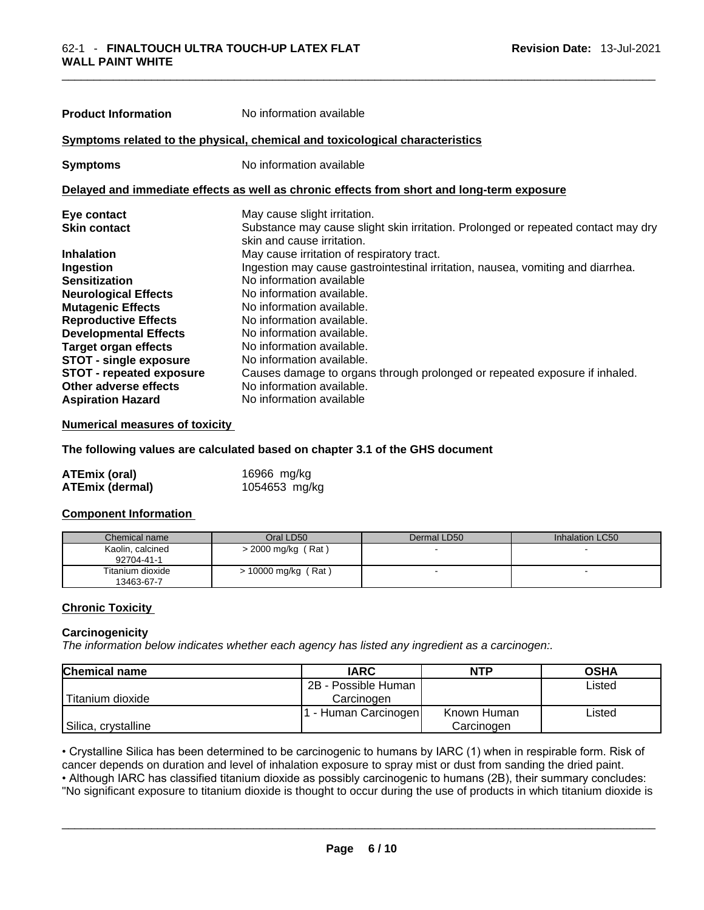| <b>Product Information</b>                                                                 | No information available                                                                                        |  |  |
|--------------------------------------------------------------------------------------------|-----------------------------------------------------------------------------------------------------------------|--|--|
|                                                                                            | Symptoms related to the physical, chemical and toxicological characteristics                                    |  |  |
| <b>Symptoms</b>                                                                            | No information available                                                                                        |  |  |
| Delayed and immediate effects as well as chronic effects from short and long-term exposure |                                                                                                                 |  |  |
| Eye contact                                                                                | May cause slight irritation.                                                                                    |  |  |
| <b>Skin contact</b>                                                                        | Substance may cause slight skin irritation. Prolonged or repeated contact may dry<br>skin and cause irritation. |  |  |
| <b>Inhalation</b>                                                                          | May cause irritation of respiratory tract.                                                                      |  |  |
| Ingestion                                                                                  | Ingestion may cause gastrointestinal irritation, nausea, vomiting and diarrhea.                                 |  |  |
| <b>Sensitization</b>                                                                       | No information available                                                                                        |  |  |
| <b>Neurological Effects</b>                                                                | No information available.                                                                                       |  |  |
| <b>Mutagenic Effects</b>                                                                   | No information available.                                                                                       |  |  |
| <b>Reproductive Effects</b>                                                                | No information available.                                                                                       |  |  |
| <b>Developmental Effects</b>                                                               | No information available.                                                                                       |  |  |
| <b>Target organ effects</b>                                                                | No information available.                                                                                       |  |  |
| <b>STOT - single exposure</b>                                                              | No information available.                                                                                       |  |  |
| <b>STOT - repeated exposure</b>                                                            | Causes damage to organs through prolonged or repeated exposure if inhaled.                                      |  |  |
| Other adverse effects                                                                      | No information available.                                                                                       |  |  |
| <b>Aspiration Hazard</b>                                                                   | No information available                                                                                        |  |  |

#### **Numerical measures of toxicity**

**The following values are calculated based on chapter 3.1 of the GHS document**

| <b>ATEmix (oral)</b>   | 16966 mg/kg   |
|------------------------|---------------|
| <b>ATEmix (dermal)</b> | 1054653 mg/kg |

#### **Component Information**

| Chemical name                  | Oral LD50           | Dermal LD50 | Inhalation LC50 |
|--------------------------------|---------------------|-------------|-----------------|
| Kaolin, calcined<br>92704-41-1 | > 2000 mg/kg (Rat)  |             |                 |
| Titanium dioxide<br>13463-67-7 | > 10000 mg/kg (Rat) |             |                 |

#### **Chronic Toxicity**

#### **Carcinogenicity**

*The information below indicates whether each agency has listed any ingredient as a carcinogen:.* 

| <b>Chemical name</b> | <b>IARC</b>          | <b>NTP</b>  | <b>OSHA</b> |
|----------------------|----------------------|-------------|-------------|
|                      | 2B - Possible Human  |             | Listed      |
| Titanium dioxide     | Carcinogen           |             |             |
|                      | 1 - Human Carcinogen | Known Human | Listed      |
| Silica, crystalline  |                      | Carcinogen  |             |

• Crystalline Silica has been determined to be carcinogenic to humans by IARC (1) when in respirable form. Risk of cancer depends on duration and level of inhalation exposure to spray mist or dust from sanding the dried paint.• Although IARC has classified titanium dioxide as possibly carcinogenic to humans (2B), their summary concludes:

"No significant exposure to titanium dioxide is thought to occur during the use of products in which titanium dioxide is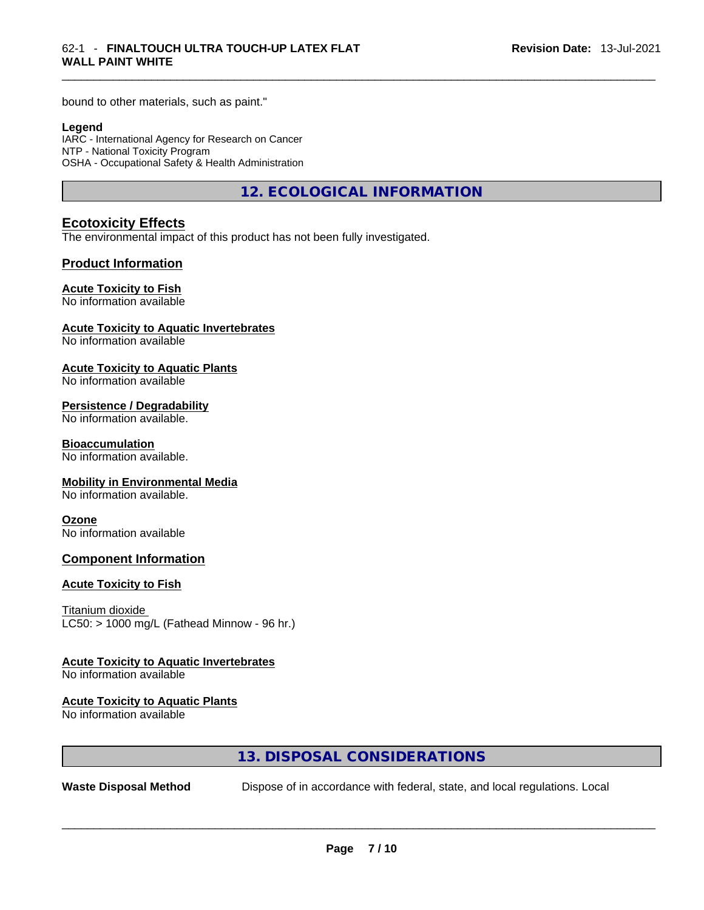bound to other materials, such as paint."

#### **Legend**

IARC - International Agency for Research on Cancer NTP - National Toxicity Program OSHA - Occupational Safety & Health Administration

**12. ECOLOGICAL INFORMATION** 

#### **Ecotoxicity Effects**

The environmental impact of this product has not been fully investigated.

#### **Product Information**

#### **Acute Toxicity to Fish**

No information available

#### **Acute Toxicity to Aquatic Invertebrates**

No information available

#### **Acute Toxicity to Aquatic Plants**

No information available

#### **Persistence / Degradability**

No information available.

#### **Bioaccumulation**

No information available.

#### **Mobility in Environmental Media**

No information available.

#### **Ozone**

No information available

#### **Component Information**

#### **Acute Toxicity to Fish**

Titanium dioxide  $LC50:$  > 1000 mg/L (Fathead Minnow - 96 hr.)

#### **Acute Toxicity to Aquatic Invertebrates**

No information available

#### **Acute Toxicity to Aquatic Plants**

No information available

### **13. DISPOSAL CONSIDERATIONS**

**Waste Disposal Method** Dispose of in accordance with federal, state, and local regulations. Local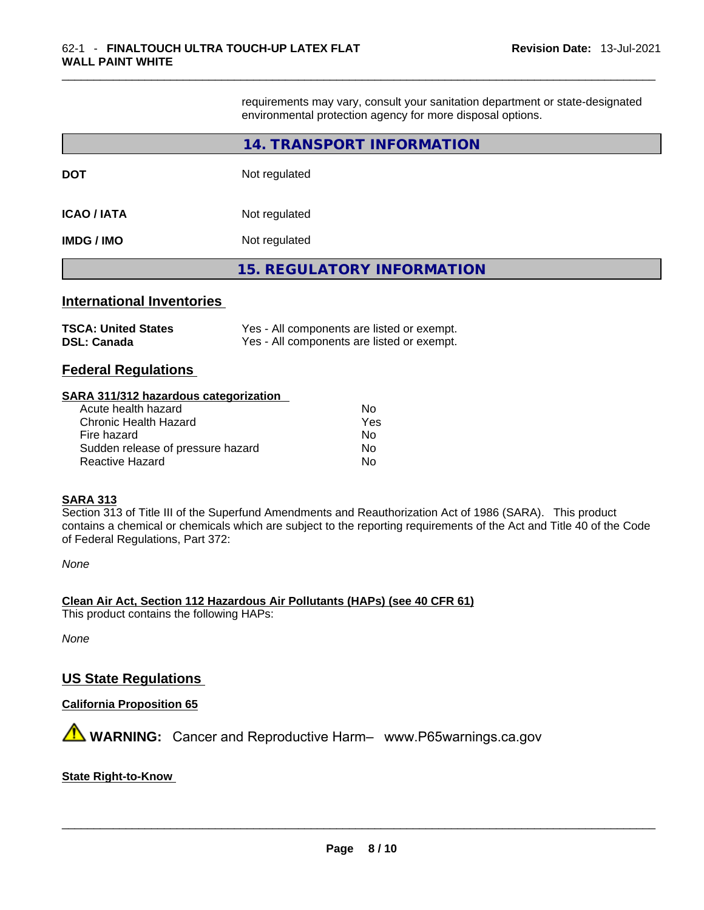requirements may vary, consult your sanitation department or state-designated environmental protection agency for more disposal options.

|                                                  | 14. TRANSPORT INFORMATION                                                                |
|--------------------------------------------------|------------------------------------------------------------------------------------------|
| <b>DOT</b>                                       | Not regulated                                                                            |
| <b>ICAO / IATA</b>                               | Not regulated                                                                            |
| <b>IMDG / IMO</b>                                | Not regulated                                                                            |
|                                                  | <b>15. REGULATORY INFORMATION</b>                                                        |
| <b>International Inventories</b>                 |                                                                                          |
| <b>TSCA: United States</b><br><b>DSL: Canada</b> | Yes - All components are listed or exempt.<br>Yes - All components are listed or exempt. |

# **Federal Regulations**

#### **SARA 311/312 hazardous categorization**

| Acute health hazard               | Nο  |
|-----------------------------------|-----|
| Chronic Health Hazard             | Yes |
| Fire hazard                       | Nο  |
| Sudden release of pressure hazard | No  |
| Reactive Hazard                   | No  |

#### **SARA 313**

Section 313 of Title III of the Superfund Amendments and Reauthorization Act of 1986 (SARA). This product contains a chemical or chemicals which are subject to the reporting requirements of the Act and Title 40 of the Code of Federal Regulations, Part 372:

*None*

**Clean Air Act,Section 112 Hazardous Air Pollutants (HAPs) (see 40 CFR 61)** This product contains the following HAPs:

*None*

# **US State Regulations**

#### **California Proposition 65**

 **WARNING:** Cancer and Reproductive Harm– www.P65warnings.ca.gov

#### **State Right-to-Know**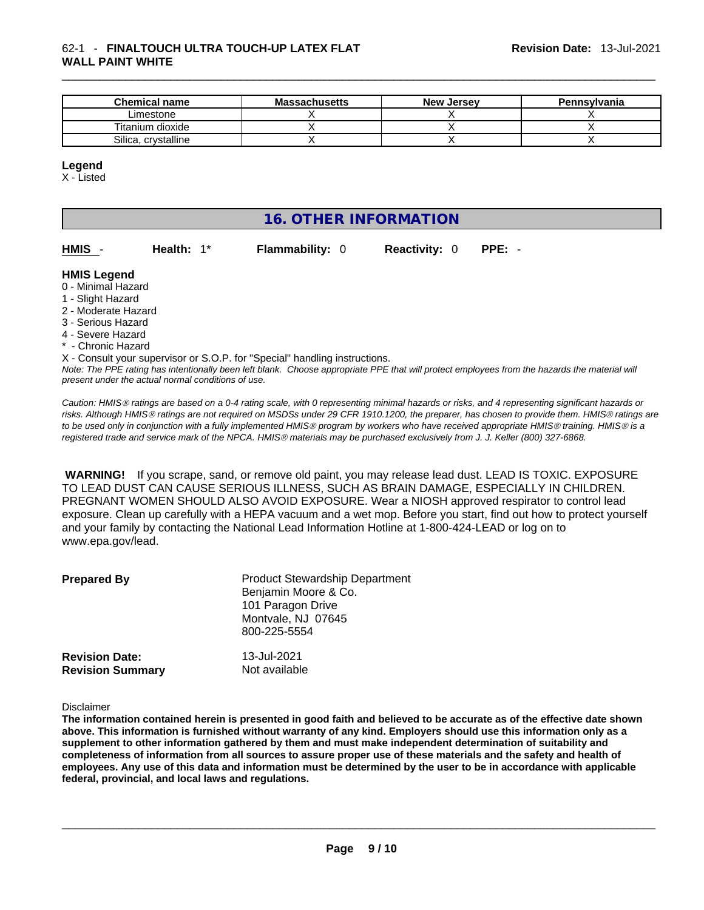#### \_\_\_\_\_\_\_\_\_\_\_\_\_\_\_\_\_\_\_\_\_\_\_\_\_\_\_\_\_\_\_\_\_\_\_\_\_\_\_\_\_\_\_\_\_\_\_\_\_\_\_\_\_\_\_\_\_\_\_\_\_\_\_\_\_\_\_\_\_\_\_\_\_\_\_\_\_\_\_\_\_\_\_\_\_\_\_\_\_\_\_\_\_ 62-1 - **FINALTOUCH ULTRA TOUCH-UP LATEX FLAT WALL PAINT WHITE**

| <b>Chemical name</b> | <b>Massachusetts</b> | <b>New Jersey</b> | <b>Pennsylvania</b> |
|----------------------|----------------------|-------------------|---------------------|
| ∟imestone            |                      |                   |                     |
| Titanium dioxide     |                      |                   |                     |
| Silica, crvstalline  |                      |                   |                     |

#### **Legend**

X - Listed

# **16. OTHER INFORMATION**

| HMIS - | <b>Health:</b> $1^*$ | <b>Flammability: 0</b> | <b>Reactivity: 0 PPE: -</b> |  |
|--------|----------------------|------------------------|-----------------------------|--|
|        |                      |                        |                             |  |

#### **HMIS Legend**

- 0 Minimal Hazard
- 1 Slight Hazard
- 2 Moderate Hazard
- 3 Serious Hazard
- 4 Severe Hazard
- Chronic Hazard

X - Consult your supervisor or S.O.P. for "Special" handling instructions.

Note: The PPE rating has intentionally been left blank. Choose appropriate PPE that will protect employees from the hazards the material will *present under the actual normal conditions of use.* 

*Caution: HMISÒ ratings are based on a 0-4 rating scale, with 0 representing minimal hazards or risks, and 4 representing significant hazards or risks. Although HMISÒ ratings are not required on MSDSs under 29 CFR 1910.1200, the preparer, has chosen to provide them. HMISÒ ratings are to be used only in conjunction with a fully implemented HMISÒ program by workers who have received appropriate HMISÒ training. HMISÒ is a registered trade and service mark of the NPCA. HMISÒ materials may be purchased exclusively from J. J. Keller (800) 327-6868.* 

 **WARNING!** If you scrape, sand, or remove old paint, you may release lead dust. LEAD IS TOXIC. EXPOSURE TO LEAD DUST CAN CAUSE SERIOUS ILLNESS, SUCH AS BRAIN DAMAGE, ESPECIALLY IN CHILDREN. PREGNANT WOMEN SHOULD ALSO AVOID EXPOSURE.Wear a NIOSH approved respirator to control lead exposure. Clean up carefully with a HEPA vacuum and a wet mop. Before you start, find out how to protect yourself and your family by contacting the National Lead Information Hotline at 1-800-424-LEAD or log on to www.epa.gov/lead.

| <b>Prepared By</b>                               | <b>Product Stewardship Department</b><br>Benjamin Moore & Co.<br>101 Paragon Drive<br>Montvale, NJ 07645<br>800-225-5554 |  |
|--------------------------------------------------|--------------------------------------------------------------------------------------------------------------------------|--|
| <b>Revision Date:</b><br><b>Revision Summary</b> | 13-Jul-2021<br>Not available                                                                                             |  |

#### Disclaimer

The information contained herein is presented in good faith and believed to be accurate as of the effective date shown above. This information is furnished without warranty of any kind. Employers should use this information only as a **supplement to other information gathered by them and must make independent determination of suitability and** completeness of information from all sources to assure proper use of these materials and the safety and health of employees. Any use of this data and information must be determined by the user to be in accordance with applicable **federal, provincial, and local laws and regulations.**